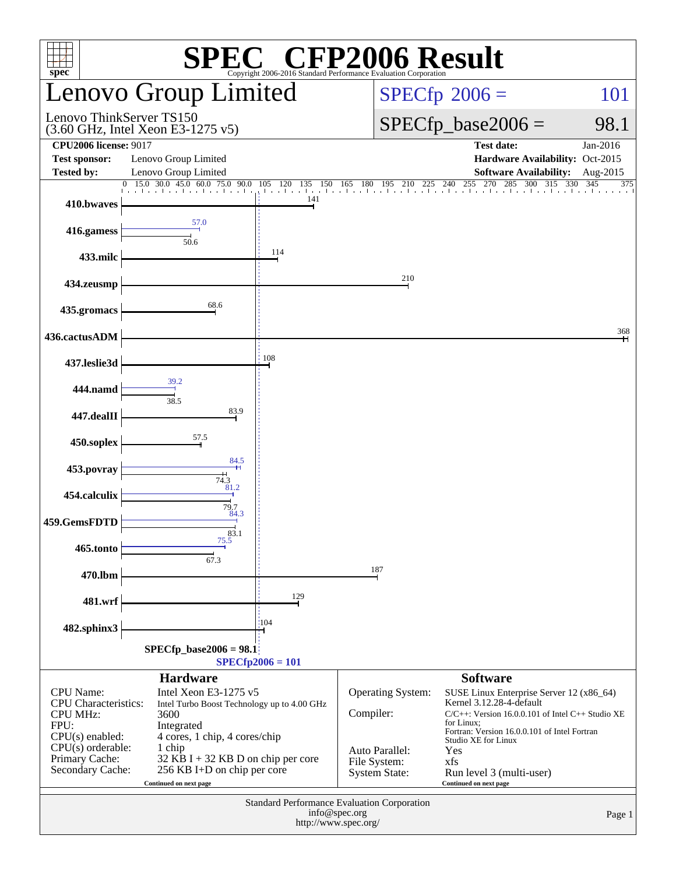| <b>SPEC<sup>®</sup></b> CFP2006 Result<br>Copyright 2006-2016 Standard Performance Evaluation Corporation<br>spec                                          |                                                                                                                                                                                                                                                           |                                 |                                                                                          |                                                                                                                                                                                                                                                                                                           |                                |  |  |  |  |
|------------------------------------------------------------------------------------------------------------------------------------------------------------|-----------------------------------------------------------------------------------------------------------------------------------------------------------------------------------------------------------------------------------------------------------|---------------------------------|------------------------------------------------------------------------------------------|-----------------------------------------------------------------------------------------------------------------------------------------------------------------------------------------------------------------------------------------------------------------------------------------------------------|--------------------------------|--|--|--|--|
|                                                                                                                                                            | Lenovo Group Limited                                                                                                                                                                                                                                      |                                 |                                                                                          | 101<br>$SPECfp^{\circ}2006 =$                                                                                                                                                                                                                                                                             |                                |  |  |  |  |
| Lenovo ThinkServer TS150                                                                                                                                   | (3.60 GHz, Intel Xeon E3-1275 v5)                                                                                                                                                                                                                         |                                 |                                                                                          | $SPECfp\_base2006 =$<br>98.1                                                                                                                                                                                                                                                                              |                                |  |  |  |  |
| <b>CPU2006 license: 9017</b><br><b>Test sponsor:</b><br><b>Tested by:</b>                                                                                  | Lenovo Group Limited<br>Lenovo Group Limited                                                                                                                                                                                                              |                                 |                                                                                          | <b>Test date:</b><br>Hardware Availability: Oct-2015<br><b>Software Availability:</b>                                                                                                                                                                                                                     | Jan-2016<br>Aug-2015           |  |  |  |  |
| $\Omega$<br>410.bwaves                                                                                                                                     | $15.0$ 30.0 45.0 60.0 75.0<br>90.0                                                                                                                                                                                                                        | 105<br>120<br>135<br>150<br>141 | 180<br>165<br>195<br>210<br>225                                                          | 285<br>255<br>270<br>300<br>315<br>240<br>laa kaaska kaaska alaa ka jaar ka alaa ka ka ka shaa ka shaa ka shaa ka shaa ka alaa ka sh                                                                                                                                                                      | $\overline{330}$<br>345<br>375 |  |  |  |  |
| 416.gamess                                                                                                                                                 | 57.0<br>50.6                                                                                                                                                                                                                                              |                                 |                                                                                          |                                                                                                                                                                                                                                                                                                           |                                |  |  |  |  |
| 433.milc                                                                                                                                                   |                                                                                                                                                                                                                                                           | 114                             |                                                                                          |                                                                                                                                                                                                                                                                                                           |                                |  |  |  |  |
| 434.zeusmp                                                                                                                                                 |                                                                                                                                                                                                                                                           |                                 | 210                                                                                      |                                                                                                                                                                                                                                                                                                           |                                |  |  |  |  |
| 435.gromacs                                                                                                                                                | 68.6                                                                                                                                                                                                                                                      |                                 |                                                                                          |                                                                                                                                                                                                                                                                                                           |                                |  |  |  |  |
| 436.cactusADM                                                                                                                                              |                                                                                                                                                                                                                                                           |                                 |                                                                                          |                                                                                                                                                                                                                                                                                                           | 368                            |  |  |  |  |
| 437.leslie3d                                                                                                                                               | 39.2                                                                                                                                                                                                                                                      | 108                             |                                                                                          |                                                                                                                                                                                                                                                                                                           |                                |  |  |  |  |
| 444.namd                                                                                                                                                   | 38.5                                                                                                                                                                                                                                                      |                                 |                                                                                          |                                                                                                                                                                                                                                                                                                           |                                |  |  |  |  |
| 447.dealII                                                                                                                                                 | 83.9                                                                                                                                                                                                                                                      |                                 |                                                                                          |                                                                                                                                                                                                                                                                                                           |                                |  |  |  |  |
| 450.soplex                                                                                                                                                 | 57.5<br>84.5                                                                                                                                                                                                                                              |                                 |                                                                                          |                                                                                                                                                                                                                                                                                                           |                                |  |  |  |  |
| 453.povray                                                                                                                                                 | 74.3<br>81.2                                                                                                                                                                                                                                              |                                 |                                                                                          |                                                                                                                                                                                                                                                                                                           |                                |  |  |  |  |
| 454.calculix                                                                                                                                               | 79.7<br>84.3                                                                                                                                                                                                                                              |                                 |                                                                                          |                                                                                                                                                                                                                                                                                                           |                                |  |  |  |  |
| 459.GemsFDTD                                                                                                                                               | $\frac{1}{75.5}$<br>33.1                                                                                                                                                                                                                                  |                                 |                                                                                          |                                                                                                                                                                                                                                                                                                           |                                |  |  |  |  |
| 465.tonto                                                                                                                                                  | 67.3                                                                                                                                                                                                                                                      |                                 | 187                                                                                      |                                                                                                                                                                                                                                                                                                           |                                |  |  |  |  |
| 470.lbm                                                                                                                                                    |                                                                                                                                                                                                                                                           | 129                             |                                                                                          |                                                                                                                                                                                                                                                                                                           |                                |  |  |  |  |
| 481.wrf                                                                                                                                                    |                                                                                                                                                                                                                                                           | :104                            |                                                                                          |                                                                                                                                                                                                                                                                                                           |                                |  |  |  |  |
| 482.sphinx3<br>$SPECfp\_base2006 = 98.1$<br>$SPECfp2006 = 101$                                                                                             |                                                                                                                                                                                                                                                           |                                 |                                                                                          |                                                                                                                                                                                                                                                                                                           |                                |  |  |  |  |
| <b>CPU</b> Name:<br><b>CPU</b> Characteristics:<br><b>CPU MHz:</b><br>FPU:<br>CPU(s) enabled:<br>$CPU(s)$ orderable:<br>Primary Cache:<br>Secondary Cache: | <b>Hardware</b><br>Intel Xeon E3-1275 v5<br>Intel Turbo Boost Technology up to 4.00 GHz<br>3600<br>Integrated<br>4 cores, 1 chip, 4 cores/chip<br>1 chip<br>$32$ KB I + 32 KB D on chip per core<br>256 KB I+D on chip per core<br>Continued on next page |                                 | Operating System:<br>Compiler:<br>Auto Parallel:<br>File System:<br><b>System State:</b> | <b>Software</b><br>SUSE Linux Enterprise Server 12 (x86_64)<br>Kernel 3.12.28-4-default<br>$C/C++$ : Version 16.0.0.101 of Intel $C++$ Studio XE<br>for Linux;<br>Fortran: Version 16.0.0.101 of Intel Fortran<br>Studio XE for Linux<br>Yes<br>xfs<br>Run level 3 (multi-user)<br>Continued on next page |                                |  |  |  |  |
| Standard Performance Evaluation Corporation<br>info@spec.org<br>Page 1<br>http://www.spec.org/                                                             |                                                                                                                                                                                                                                                           |                                 |                                                                                          |                                                                                                                                                                                                                                                                                                           |                                |  |  |  |  |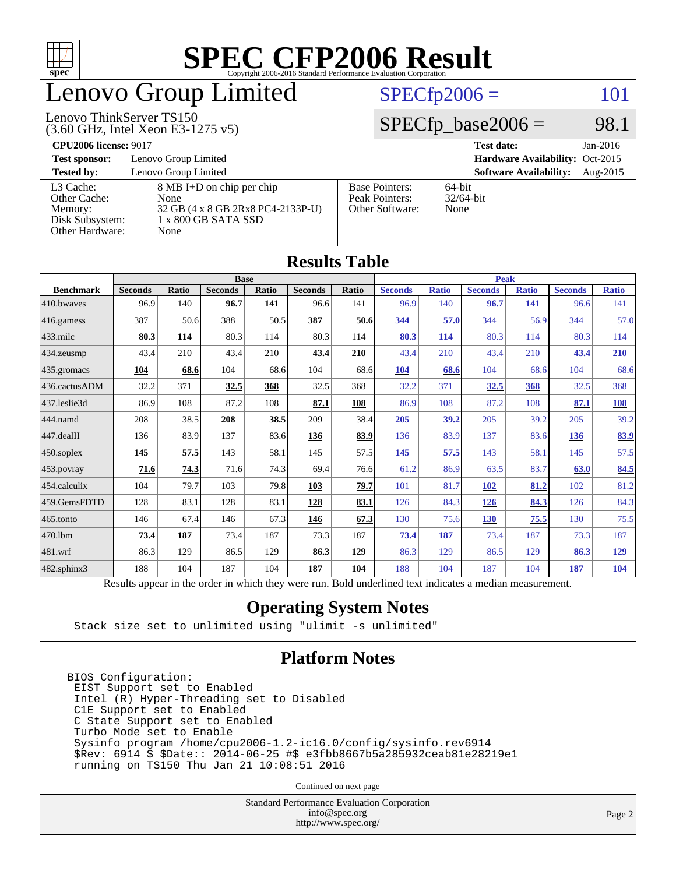

## enovo Group Limited

#### $SPECfp2006 = 101$  $SPECfp2006 = 101$

#### Lenovo ThinkServer TS150

(3.60 GHz, Intel Xeon E3-1275 v5)

 $SPECfp\_base2006 = 98.1$ 

| <b>CPU2006 license: 9017</b> |                                   |                       | <b>Test date:</b><br>$Jan-2016$           |  |  |  |  |
|------------------------------|-----------------------------------|-----------------------|-------------------------------------------|--|--|--|--|
| <b>Test sponsor:</b>         | Lenovo Group Limited              |                       | Hardware Availability: Oct-2015           |  |  |  |  |
| <b>Tested by:</b>            | Lenovo Group Limited              |                       | <b>Software Availability:</b><br>Aug-2015 |  |  |  |  |
| L3 Cache:                    | 8 MB I+D on chip per chip         | <b>Base Pointers:</b> | $64$ -bit                                 |  |  |  |  |
| Other Cache:                 | None                              | Peak Pointers:        | $32/64$ -bit                              |  |  |  |  |
| Memory:                      | 32 GB (4 x 8 GB 2Rx8 PC4-2133P-U) | Other Software:       | None                                      |  |  |  |  |
| Disk Subsystem:              | $1 \times 800$ GB SATA SSD        |                       |                                           |  |  |  |  |
| Other Hardware:              | None                              |                       |                                           |  |  |  |  |

**[Results Table](http://www.spec.org/auto/cpu2006/Docs/result-fields.html#ResultsTable)**

| Results Tadie                                                                                            |                |       |                |       |                |       |                |              |                |              |                |              |
|----------------------------------------------------------------------------------------------------------|----------------|-------|----------------|-------|----------------|-------|----------------|--------------|----------------|--------------|----------------|--------------|
|                                                                                                          | <b>Base</b>    |       |                |       |                |       | <b>Peak</b>    |              |                |              |                |              |
| <b>Benchmark</b>                                                                                         | <b>Seconds</b> | Ratio | <b>Seconds</b> | Ratio | <b>Seconds</b> | Ratio | <b>Seconds</b> | <b>Ratio</b> | <b>Seconds</b> | <b>Ratio</b> | <b>Seconds</b> | <b>Ratio</b> |
| 410.bwayes                                                                                               | 96.9           | 140   | 96.7           | 141   | 96.6           | 141   | 96.9           | 140          | 96.7           | 141          | 96.6           | 141          |
| 416.gamess                                                                                               | 387            | 50.6  | 388            | 50.5  | 387            | 50.6  | 344            | 57.0         | 344            | 56.9         | 344            | 57.0         |
| 433.milc                                                                                                 | 80.3           | 114   | 80.3           | 114   | 80.3           | 114   | 80.3           | 114          | 80.3           | 114          | 80.3           | 114          |
| 434.zeusmp                                                                                               | 43.4           | 210   | 43.4           | 210   | 43.4           | 210   | 43.4           | 210          | 43.4           | 210          | 43.4           | 210          |
| 435.gromacs                                                                                              | 104            | 68.6  | 104            | 68.6  | 104            | 68.6  | 104            | 68.6         | 104            | 68.6         | 104            | 68.6         |
| 436.cactusADM                                                                                            | 32.2           | 371   | 32.5           | 368   | 32.5           | 368   | 32.2           | 371          | 32.5           | 368          | 32.5           | 368          |
| 437.leslie3d                                                                                             | 86.9           | 108   | 87.2           | 108   | 87.1           | 108   | 86.9           | 108          | 87.2           | 108          | 87.1           | <b>108</b>   |
| 444.namd                                                                                                 | 208            | 38.5  | 208            | 38.5  | 209            | 38.4  | 205            | 39.2         | 205            | 39.2         | 205            | 39.2         |
| 447.dealII                                                                                               | 136            | 83.9  | 137            | 83.6  | 136            | 83.9  | 136            | 83.9         | 137            | 83.6         | 136            | 83.9         |
| $450$ .soplex                                                                                            | 145            | 57.5  | 143            | 58.1  | 145            | 57.5  | 145            | 57.5         | 143            | 58.1         | 145            | 57.5         |
| $453$ . povray                                                                                           | 71.6           | 74.3  | 71.6           | 74.3  | 69.4           | 76.6  | 61.2           | 86.9         | 63.5           | 83.7         | 63.0           | 84.5         |
| 454.calculix                                                                                             | 104            | 79.7  | 103            | 79.8  | 103            | 79.7  | 101            | 81.7         | 102            | 81.2         | 102            | 81.2         |
| 459.GemsFDTD                                                                                             | 128            | 83.1  | 128            | 83.1  | 128            | 83.1  | 126            | 84.3         | 126            | 84.3         | 126            | 84.3         |
| $465$ .tonto                                                                                             | 146            | 67.4  | 146            | 67.3  | 146            | 67.3  | 130            | 75.6         | 130            | 75.5         | 130            | 75.5         |
| 470.1bm                                                                                                  | 73.4           | 187   | 73.4           | 187   | 73.3           | 187   | 73.4           | 187          | 73.4           | 187          | 73.3           | 187          |
| 481.wrf                                                                                                  | 86.3           | 129   | 86.5           | 129   | 86.3           | 129   | 86.3           | 129          | 86.5           | 129          | 86.3           | <u>129</u>   |
| 482.sphinx3                                                                                              | 188            | 104   | 187            | 104   | 187            | 104   | 188            | 104          | 187            | 104          | 187            | 104          |
| Results appear in the order in which they were run. Bold underlined text indicates a median measurement. |                |       |                |       |                |       |                |              |                |              |                |              |

#### **[Operating System Notes](http://www.spec.org/auto/cpu2006/Docs/result-fields.html#OperatingSystemNotes)**

Stack size set to unlimited using "ulimit -s unlimited"

#### **[Platform Notes](http://www.spec.org/auto/cpu2006/Docs/result-fields.html#PlatformNotes)**

BIOS Configuration: EIST Support set to Enabled Intel (R) Hyper-Threading set to Disabled C1E Support set to Enabled C State Support set to Enabled Turbo Mode set to Enable Sysinfo program /home/cpu2006-1.2-ic16.0/config/sysinfo.rev6914 \$Rev: 6914 \$ \$Date:: 2014-06-25 #\$ e3fbb8667b5a285932ceab81e28219e1 running on TS150 Thu Jan 21 10:08:51 2016

Continued on next page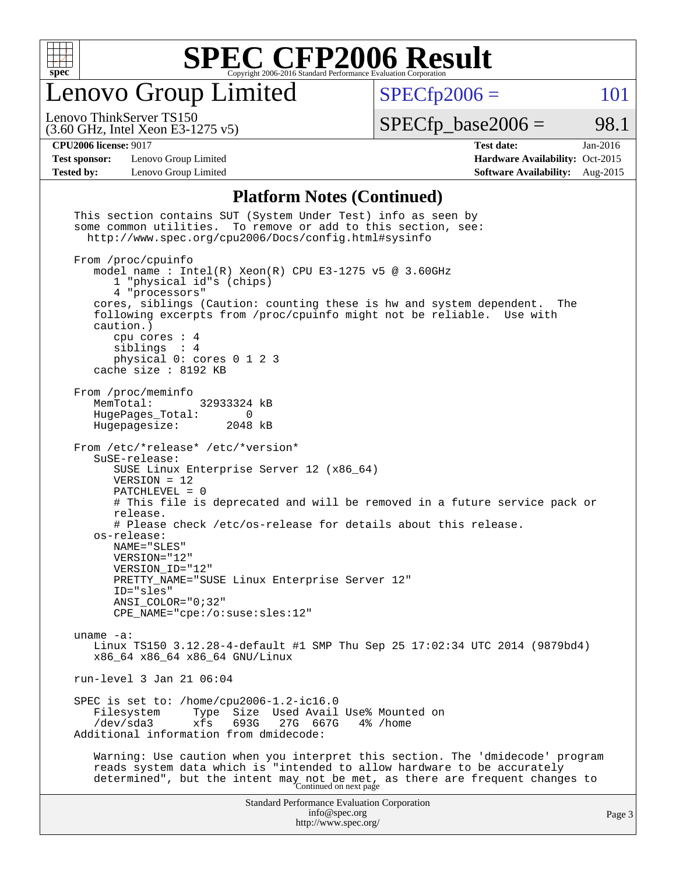

Lenovo Group Limited

 $SPECfp2006 = 101$  $SPECfp2006 = 101$ 

(3.60 GHz, Intel Xeon E3-1275 v5) Lenovo ThinkServer TS150

 $SPECTp\_base2006 = 98.1$ 

**[Test sponsor:](http://www.spec.org/auto/cpu2006/Docs/result-fields.html#Testsponsor)** Lenovo Group Limited **[Hardware Availability:](http://www.spec.org/auto/cpu2006/Docs/result-fields.html#HardwareAvailability)** Oct-2015

**[CPU2006 license:](http://www.spec.org/auto/cpu2006/Docs/result-fields.html#CPU2006license)** 9017 **[Test date:](http://www.spec.org/auto/cpu2006/Docs/result-fields.html#Testdate)** Jan-2016 **[Tested by:](http://www.spec.org/auto/cpu2006/Docs/result-fields.html#Testedby)** Lenovo Group Limited **[Software Availability:](http://www.spec.org/auto/cpu2006/Docs/result-fields.html#SoftwareAvailability)** Aug-2015

#### **[Platform Notes \(Continued\)](http://www.spec.org/auto/cpu2006/Docs/result-fields.html#PlatformNotes)**

| This section contains SUT (System Under Test) info as seen by<br>some common utilities. To remove or add to this section, see:<br>http://www.spec.org/cpu2006/Docs/config.html#sysinfo                                                                                                                                                                                                                                                                                                       |        |
|----------------------------------------------------------------------------------------------------------------------------------------------------------------------------------------------------------------------------------------------------------------------------------------------------------------------------------------------------------------------------------------------------------------------------------------------------------------------------------------------|--------|
| From /proc/cpuinfo<br>model name: $Intel(R)$ Xeon(R) CPU E3-1275 v5 @ 3.60GHz<br>1 "physical id"s (chips)<br>4 "processors"<br>cores, siblings (Caution: counting these is hw and system dependent.<br>The<br>following excerpts from /proc/cpuinfo might not be reliable. Use with<br>caution.)<br>cpu cores $: 4$<br>siblings : 4<br>physical 0: cores 0 1 2 3<br>cache size : 8192 KB                                                                                                     |        |
| From /proc/meminfo<br>MemTotal:<br>32933324 kB<br>HugePages_Total:<br>$\Omega$<br>Hugepagesize:<br>2048 kB                                                                                                                                                                                                                                                                                                                                                                                   |        |
| From /etc/*release* /etc/*version*<br>SuSE-release:<br>SUSE Linux Enterprise Server 12 (x86_64)<br>$VERSION = 12$<br>$PATCHLEVEL = 0$<br># This file is deprecated and will be removed in a future service pack or<br>release.<br># Please check /etc/os-release for details about this release.<br>os-release:<br>NAME="SLES"<br>VERSION="12"<br>VERSION_ID="12"<br>PRETTY_NAME="SUSE Linux Enterprise Server 12"<br>ID="sles"<br>$ANSI$ _COLOR=" $0:32"$<br>CPE_NAME="cpe:/o:suse:sles:12" |        |
| uname $-a$ :<br>Linux TS150 3.12.28-4-default #1 SMP Thu Sep 25 17:02:34 UTC 2014 (9879bd4)<br>x86 64 x86 64 x86 64 GNU/Linux                                                                                                                                                                                                                                                                                                                                                                |        |
| run-level $3$ Jan $21$ 06:04                                                                                                                                                                                                                                                                                                                                                                                                                                                                 |        |
| SPEC is set to: /home/cpu2006-1.2-ic16.0<br>Size Used Avail Use% Mounted on<br>Filesystem<br>Type<br>$/\text{dev/sda}$<br>693G<br>xfs<br>27G<br>667G<br>4% /home<br>Additional information from dmidecode:                                                                                                                                                                                                                                                                                   |        |
| Warning: Use caution when you interpret this section. The 'dmidecode' program<br>reads system data which is "intended to allow hardware to be accurately<br>determined", but the intent may not be met, as there are frequent changes to<br>Continued on next page                                                                                                                                                                                                                           |        |
| <b>Standard Performance Evaluation Corporation</b><br>info@spec.org<br>http://www.spec.org/                                                                                                                                                                                                                                                                                                                                                                                                  | Page 3 |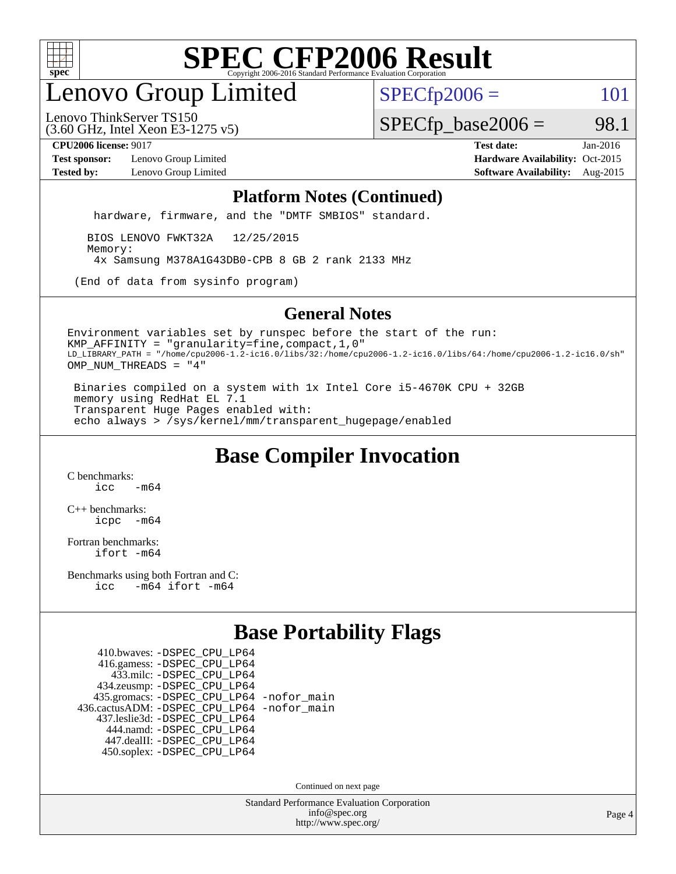

## enovo Group Limited

 $SPECfp2006 = 101$  $SPECfp2006 = 101$ 

(3.60 GHz, Intel Xeon E3-1275 v5) Lenovo ThinkServer TS150

 $SPECTp\_base2006 = 98.1$ 

**[Test sponsor:](http://www.spec.org/auto/cpu2006/Docs/result-fields.html#Testsponsor)** Lenovo Group Limited **[Hardware Availability:](http://www.spec.org/auto/cpu2006/Docs/result-fields.html#HardwareAvailability)** Oct-2015

**[CPU2006 license:](http://www.spec.org/auto/cpu2006/Docs/result-fields.html#CPU2006license)** 9017 **[Test date:](http://www.spec.org/auto/cpu2006/Docs/result-fields.html#Testdate)** Jan-2016 **[Tested by:](http://www.spec.org/auto/cpu2006/Docs/result-fields.html#Testedby)** Lenovo Group Limited **[Software Availability:](http://www.spec.org/auto/cpu2006/Docs/result-fields.html#SoftwareAvailability)** Aug-2015

#### **[Platform Notes \(Continued\)](http://www.spec.org/auto/cpu2006/Docs/result-fields.html#PlatformNotes)**

hardware, firmware, and the "DMTF SMBIOS" standard.

 BIOS LENOVO FWKT32A 12/25/2015 Memory: 4x Samsung M378A1G43DB0-CPB 8 GB 2 rank 2133 MHz

(End of data from sysinfo program)

#### **[General Notes](http://www.spec.org/auto/cpu2006/Docs/result-fields.html#GeneralNotes)**

Environment variables set by runspec before the start of the run: KMP\_AFFINITY = "granularity=fine,compact,1,0" LD\_LIBRARY\_PATH = "/home/cpu2006-1.2-ic16.0/libs/32:/home/cpu2006-1.2-ic16.0/libs/64:/home/cpu2006-1.2-ic16.0/sh" OMP\_NUM\_THREADS = "4"

 Binaries compiled on a system with 1x Intel Core i5-4670K CPU + 32GB memory using RedHat EL 7.1 Transparent Huge Pages enabled with: echo always > /sys/kernel/mm/transparent\_hugepage/enabled

### **[Base Compiler Invocation](http://www.spec.org/auto/cpu2006/Docs/result-fields.html#BaseCompilerInvocation)**

[C benchmarks](http://www.spec.org/auto/cpu2006/Docs/result-fields.html#Cbenchmarks):  $icc$   $-m64$ 

[C++ benchmarks:](http://www.spec.org/auto/cpu2006/Docs/result-fields.html#CXXbenchmarks) [icpc -m64](http://www.spec.org/cpu2006/results/res2016q1/cpu2006-20160125-38877.flags.html#user_CXXbase_intel_icpc_64bit_bedb90c1146cab66620883ef4f41a67e)

[Fortran benchmarks](http://www.spec.org/auto/cpu2006/Docs/result-fields.html#Fortranbenchmarks): [ifort -m64](http://www.spec.org/cpu2006/results/res2016q1/cpu2006-20160125-38877.flags.html#user_FCbase_intel_ifort_64bit_ee9d0fb25645d0210d97eb0527dcc06e)

[Benchmarks using both Fortran and C](http://www.spec.org/auto/cpu2006/Docs/result-fields.html#BenchmarksusingbothFortranandC): [icc -m64](http://www.spec.org/cpu2006/results/res2016q1/cpu2006-20160125-38877.flags.html#user_CC_FCbase_intel_icc_64bit_0b7121f5ab7cfabee23d88897260401c) [ifort -m64](http://www.spec.org/cpu2006/results/res2016q1/cpu2006-20160125-38877.flags.html#user_CC_FCbase_intel_ifort_64bit_ee9d0fb25645d0210d97eb0527dcc06e)

### **[Base Portability Flags](http://www.spec.org/auto/cpu2006/Docs/result-fields.html#BasePortabilityFlags)**

 410.bwaves: [-DSPEC\\_CPU\\_LP64](http://www.spec.org/cpu2006/results/res2016q1/cpu2006-20160125-38877.flags.html#suite_basePORTABILITY410_bwaves_DSPEC_CPU_LP64) 416.gamess: [-DSPEC\\_CPU\\_LP64](http://www.spec.org/cpu2006/results/res2016q1/cpu2006-20160125-38877.flags.html#suite_basePORTABILITY416_gamess_DSPEC_CPU_LP64) 433.milc: [-DSPEC\\_CPU\\_LP64](http://www.spec.org/cpu2006/results/res2016q1/cpu2006-20160125-38877.flags.html#suite_basePORTABILITY433_milc_DSPEC_CPU_LP64) 434.zeusmp: [-DSPEC\\_CPU\\_LP64](http://www.spec.org/cpu2006/results/res2016q1/cpu2006-20160125-38877.flags.html#suite_basePORTABILITY434_zeusmp_DSPEC_CPU_LP64) 435.gromacs: [-DSPEC\\_CPU\\_LP64](http://www.spec.org/cpu2006/results/res2016q1/cpu2006-20160125-38877.flags.html#suite_basePORTABILITY435_gromacs_DSPEC_CPU_LP64) [-nofor\\_main](http://www.spec.org/cpu2006/results/res2016q1/cpu2006-20160125-38877.flags.html#user_baseLDPORTABILITY435_gromacs_f-nofor_main) 436.cactusADM: [-DSPEC\\_CPU\\_LP64](http://www.spec.org/cpu2006/results/res2016q1/cpu2006-20160125-38877.flags.html#suite_basePORTABILITY436_cactusADM_DSPEC_CPU_LP64) [-nofor\\_main](http://www.spec.org/cpu2006/results/res2016q1/cpu2006-20160125-38877.flags.html#user_baseLDPORTABILITY436_cactusADM_f-nofor_main) 437.leslie3d: [-DSPEC\\_CPU\\_LP64](http://www.spec.org/cpu2006/results/res2016q1/cpu2006-20160125-38877.flags.html#suite_basePORTABILITY437_leslie3d_DSPEC_CPU_LP64) 444.namd: [-DSPEC\\_CPU\\_LP64](http://www.spec.org/cpu2006/results/res2016q1/cpu2006-20160125-38877.flags.html#suite_basePORTABILITY444_namd_DSPEC_CPU_LP64) 447.dealII: [-DSPEC\\_CPU\\_LP64](http://www.spec.org/cpu2006/results/res2016q1/cpu2006-20160125-38877.flags.html#suite_basePORTABILITY447_dealII_DSPEC_CPU_LP64) 450.soplex: [-DSPEC\\_CPU\\_LP64](http://www.spec.org/cpu2006/results/res2016q1/cpu2006-20160125-38877.flags.html#suite_basePORTABILITY450_soplex_DSPEC_CPU_LP64)

Continued on next page

Standard Performance Evaluation Corporation [info@spec.org](mailto:info@spec.org) <http://www.spec.org/>

Page 4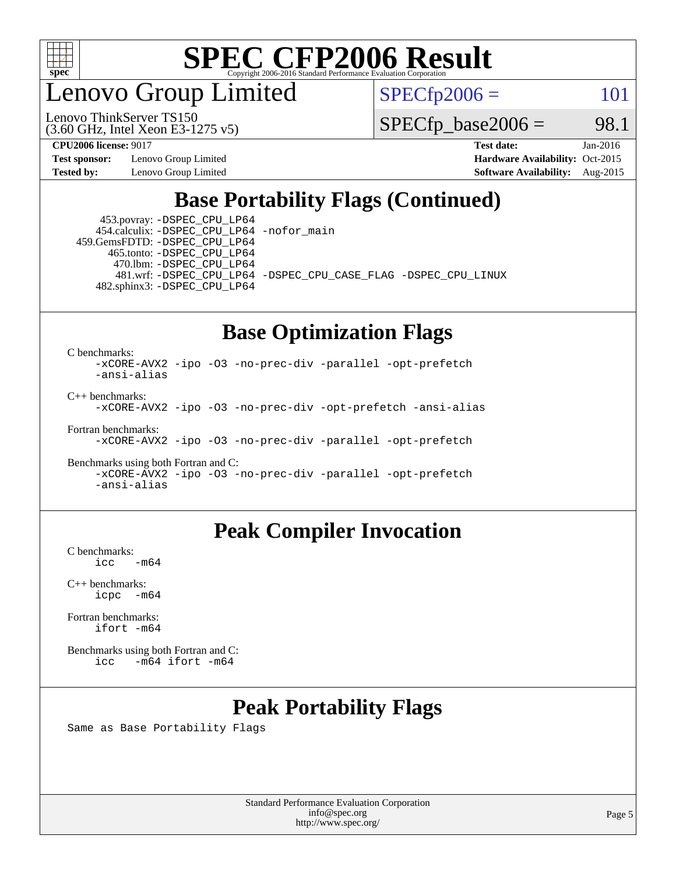

enovo Group Limited

 $SPECfp2006 = 101$  $SPECfp2006 = 101$ 

(3.60 GHz, Intel Xeon E3-1275 v5) Lenovo ThinkServer TS150

 $SPECTp\_base2006 = 98.1$ 

**[Test sponsor:](http://www.spec.org/auto/cpu2006/Docs/result-fields.html#Testsponsor)** Lenovo Group Limited **[Hardware Availability:](http://www.spec.org/auto/cpu2006/Docs/result-fields.html#HardwareAvailability)** Oct-2015

**[CPU2006 license:](http://www.spec.org/auto/cpu2006/Docs/result-fields.html#CPU2006license)** 9017 **[Test date:](http://www.spec.org/auto/cpu2006/Docs/result-fields.html#Testdate)** Jan-2016 **[Tested by:](http://www.spec.org/auto/cpu2006/Docs/result-fields.html#Testedby)** Lenovo Group Limited **[Software Availability:](http://www.spec.org/auto/cpu2006/Docs/result-fields.html#SoftwareAvailability)** Aug-2015

### **[Base Portability Flags \(Continued\)](http://www.spec.org/auto/cpu2006/Docs/result-fields.html#BasePortabilityFlags)**

 453.povray: [-DSPEC\\_CPU\\_LP64](http://www.spec.org/cpu2006/results/res2016q1/cpu2006-20160125-38877.flags.html#suite_basePORTABILITY453_povray_DSPEC_CPU_LP64) 454.calculix: [-DSPEC\\_CPU\\_LP64](http://www.spec.org/cpu2006/results/res2016q1/cpu2006-20160125-38877.flags.html#suite_basePORTABILITY454_calculix_DSPEC_CPU_LP64) [-nofor\\_main](http://www.spec.org/cpu2006/results/res2016q1/cpu2006-20160125-38877.flags.html#user_baseLDPORTABILITY454_calculix_f-nofor_main) 459.GemsFDTD: [-DSPEC\\_CPU\\_LP64](http://www.spec.org/cpu2006/results/res2016q1/cpu2006-20160125-38877.flags.html#suite_basePORTABILITY459_GemsFDTD_DSPEC_CPU_LP64)

 465.tonto: [-DSPEC\\_CPU\\_LP64](http://www.spec.org/cpu2006/results/res2016q1/cpu2006-20160125-38877.flags.html#suite_basePORTABILITY465_tonto_DSPEC_CPU_LP64) 470.lbm: [-DSPEC\\_CPU\\_LP64](http://www.spec.org/cpu2006/results/res2016q1/cpu2006-20160125-38877.flags.html#suite_basePORTABILITY470_lbm_DSPEC_CPU_LP64) 482.sphinx3: [-DSPEC\\_CPU\\_LP64](http://www.spec.org/cpu2006/results/res2016q1/cpu2006-20160125-38877.flags.html#suite_basePORTABILITY482_sphinx3_DSPEC_CPU_LP64)

481.wrf: [-DSPEC\\_CPU\\_LP64](http://www.spec.org/cpu2006/results/res2016q1/cpu2006-20160125-38877.flags.html#suite_basePORTABILITY481_wrf_DSPEC_CPU_LP64) [-DSPEC\\_CPU\\_CASE\\_FLAG](http://www.spec.org/cpu2006/results/res2016q1/cpu2006-20160125-38877.flags.html#b481.wrf_baseCPORTABILITY_DSPEC_CPU_CASE_FLAG) [-DSPEC\\_CPU\\_LINUX](http://www.spec.org/cpu2006/results/res2016q1/cpu2006-20160125-38877.flags.html#b481.wrf_baseCPORTABILITY_DSPEC_CPU_LINUX)

#### **[Base Optimization Flags](http://www.spec.org/auto/cpu2006/Docs/result-fields.html#BaseOptimizationFlags)**

[C benchmarks](http://www.spec.org/auto/cpu2006/Docs/result-fields.html#Cbenchmarks):

[-xCORE-AVX2](http://www.spec.org/cpu2006/results/res2016q1/cpu2006-20160125-38877.flags.html#user_CCbase_f-xAVX2_5f5fc0cbe2c9f62c816d3e45806c70d7) [-ipo](http://www.spec.org/cpu2006/results/res2016q1/cpu2006-20160125-38877.flags.html#user_CCbase_f-ipo) [-O3](http://www.spec.org/cpu2006/results/res2016q1/cpu2006-20160125-38877.flags.html#user_CCbase_f-O3) [-no-prec-div](http://www.spec.org/cpu2006/results/res2016q1/cpu2006-20160125-38877.flags.html#user_CCbase_f-no-prec-div) [-parallel](http://www.spec.org/cpu2006/results/res2016q1/cpu2006-20160125-38877.flags.html#user_CCbase_f-parallel) [-opt-prefetch](http://www.spec.org/cpu2006/results/res2016q1/cpu2006-20160125-38877.flags.html#user_CCbase_f-opt-prefetch) [-ansi-alias](http://www.spec.org/cpu2006/results/res2016q1/cpu2006-20160125-38877.flags.html#user_CCbase_f-ansi-alias)

[C++ benchmarks:](http://www.spec.org/auto/cpu2006/Docs/result-fields.html#CXXbenchmarks)

[-xCORE-AVX2](http://www.spec.org/cpu2006/results/res2016q1/cpu2006-20160125-38877.flags.html#user_CXXbase_f-xAVX2_5f5fc0cbe2c9f62c816d3e45806c70d7) [-ipo](http://www.spec.org/cpu2006/results/res2016q1/cpu2006-20160125-38877.flags.html#user_CXXbase_f-ipo) [-O3](http://www.spec.org/cpu2006/results/res2016q1/cpu2006-20160125-38877.flags.html#user_CXXbase_f-O3) [-no-prec-div](http://www.spec.org/cpu2006/results/res2016q1/cpu2006-20160125-38877.flags.html#user_CXXbase_f-no-prec-div) [-opt-prefetch](http://www.spec.org/cpu2006/results/res2016q1/cpu2006-20160125-38877.flags.html#user_CXXbase_f-opt-prefetch) [-ansi-alias](http://www.spec.org/cpu2006/results/res2016q1/cpu2006-20160125-38877.flags.html#user_CXXbase_f-ansi-alias)

[Fortran benchmarks](http://www.spec.org/auto/cpu2006/Docs/result-fields.html#Fortranbenchmarks):

[-xCORE-AVX2](http://www.spec.org/cpu2006/results/res2016q1/cpu2006-20160125-38877.flags.html#user_FCbase_f-xAVX2_5f5fc0cbe2c9f62c816d3e45806c70d7) [-ipo](http://www.spec.org/cpu2006/results/res2016q1/cpu2006-20160125-38877.flags.html#user_FCbase_f-ipo) [-O3](http://www.spec.org/cpu2006/results/res2016q1/cpu2006-20160125-38877.flags.html#user_FCbase_f-O3) [-no-prec-div](http://www.spec.org/cpu2006/results/res2016q1/cpu2006-20160125-38877.flags.html#user_FCbase_f-no-prec-div) [-parallel](http://www.spec.org/cpu2006/results/res2016q1/cpu2006-20160125-38877.flags.html#user_FCbase_f-parallel) [-opt-prefetch](http://www.spec.org/cpu2006/results/res2016q1/cpu2006-20160125-38877.flags.html#user_FCbase_f-opt-prefetch)

[Benchmarks using both Fortran and C](http://www.spec.org/auto/cpu2006/Docs/result-fields.html#BenchmarksusingbothFortranandC): [-xCORE-AVX2](http://www.spec.org/cpu2006/results/res2016q1/cpu2006-20160125-38877.flags.html#user_CC_FCbase_f-xAVX2_5f5fc0cbe2c9f62c816d3e45806c70d7) [-ipo](http://www.spec.org/cpu2006/results/res2016q1/cpu2006-20160125-38877.flags.html#user_CC_FCbase_f-ipo) [-O3](http://www.spec.org/cpu2006/results/res2016q1/cpu2006-20160125-38877.flags.html#user_CC_FCbase_f-O3) [-no-prec-div](http://www.spec.org/cpu2006/results/res2016q1/cpu2006-20160125-38877.flags.html#user_CC_FCbase_f-no-prec-div) [-parallel](http://www.spec.org/cpu2006/results/res2016q1/cpu2006-20160125-38877.flags.html#user_CC_FCbase_f-parallel) [-opt-prefetch](http://www.spec.org/cpu2006/results/res2016q1/cpu2006-20160125-38877.flags.html#user_CC_FCbase_f-opt-prefetch) [-ansi-alias](http://www.spec.org/cpu2006/results/res2016q1/cpu2006-20160125-38877.flags.html#user_CC_FCbase_f-ansi-alias)

#### **[Peak Compiler Invocation](http://www.spec.org/auto/cpu2006/Docs/result-fields.html#PeakCompilerInvocation)**

[C benchmarks](http://www.spec.org/auto/cpu2006/Docs/result-fields.html#Cbenchmarks):  $-m64$ 

[C++ benchmarks:](http://www.spec.org/auto/cpu2006/Docs/result-fields.html#CXXbenchmarks) [icpc -m64](http://www.spec.org/cpu2006/results/res2016q1/cpu2006-20160125-38877.flags.html#user_CXXpeak_intel_icpc_64bit_bedb90c1146cab66620883ef4f41a67e)

[Fortran benchmarks](http://www.spec.org/auto/cpu2006/Docs/result-fields.html#Fortranbenchmarks): [ifort -m64](http://www.spec.org/cpu2006/results/res2016q1/cpu2006-20160125-38877.flags.html#user_FCpeak_intel_ifort_64bit_ee9d0fb25645d0210d97eb0527dcc06e)

[Benchmarks using both Fortran and C](http://www.spec.org/auto/cpu2006/Docs/result-fields.html#BenchmarksusingbothFortranandC): [icc -m64](http://www.spec.org/cpu2006/results/res2016q1/cpu2006-20160125-38877.flags.html#user_CC_FCpeak_intel_icc_64bit_0b7121f5ab7cfabee23d88897260401c) [ifort -m64](http://www.spec.org/cpu2006/results/res2016q1/cpu2006-20160125-38877.flags.html#user_CC_FCpeak_intel_ifort_64bit_ee9d0fb25645d0210d97eb0527dcc06e)

## **[Peak Portability Flags](http://www.spec.org/auto/cpu2006/Docs/result-fields.html#PeakPortabilityFlags)**

Same as Base Portability Flags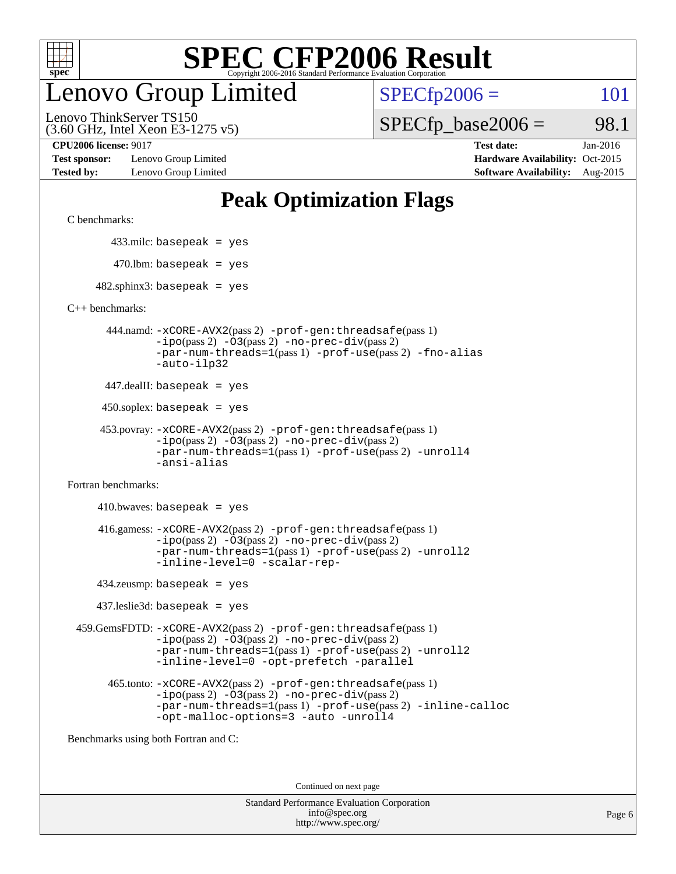

## enovo Group Limited

 $SPECfp2006 = 101$  $SPECfp2006 = 101$ 

(3.60 GHz, Intel Xeon E3-1275 v5) Lenovo ThinkServer TS150

 $SPECTp\_base2006 = 98.1$ 

**[Test sponsor:](http://www.spec.org/auto/cpu2006/Docs/result-fields.html#Testsponsor)** Lenovo Group Limited **[Hardware Availability:](http://www.spec.org/auto/cpu2006/Docs/result-fields.html#HardwareAvailability)** Oct-2015

**[CPU2006 license:](http://www.spec.org/auto/cpu2006/Docs/result-fields.html#CPU2006license)** 9017 **[Test date:](http://www.spec.org/auto/cpu2006/Docs/result-fields.html#Testdate)** Jan-2016 **[Tested by:](http://www.spec.org/auto/cpu2006/Docs/result-fields.html#Testedby)** Lenovo Group Limited **[Software Availability:](http://www.spec.org/auto/cpu2006/Docs/result-fields.html#SoftwareAvailability)** Aug-2015

## **[Peak Optimization Flags](http://www.spec.org/auto/cpu2006/Docs/result-fields.html#PeakOptimizationFlags)**

[C benchmarks](http://www.spec.org/auto/cpu2006/Docs/result-fields.html#Cbenchmarks):

433.milc: basepeak = yes

 $470.$ lbm: basepeak = yes

 $482$ .sphinx3: basepeak = yes

[C++ benchmarks:](http://www.spec.org/auto/cpu2006/Docs/result-fields.html#CXXbenchmarks)

 444.namd: [-xCORE-AVX2](http://www.spec.org/cpu2006/results/res2016q1/cpu2006-20160125-38877.flags.html#user_peakPASS2_CXXFLAGSPASS2_LDFLAGS444_namd_f-xAVX2_5f5fc0cbe2c9f62c816d3e45806c70d7)(pass 2) [-prof-gen:threadsafe](http://www.spec.org/cpu2006/results/res2016q1/cpu2006-20160125-38877.flags.html#user_peakPASS1_CXXFLAGSPASS1_LDFLAGS444_namd_prof_gen_21a26eb79f378b550acd7bec9fe4467a)(pass 1) [-ipo](http://www.spec.org/cpu2006/results/res2016q1/cpu2006-20160125-38877.flags.html#user_peakPASS2_CXXFLAGSPASS2_LDFLAGS444_namd_f-ipo)(pass 2) [-O3](http://www.spec.org/cpu2006/results/res2016q1/cpu2006-20160125-38877.flags.html#user_peakPASS2_CXXFLAGSPASS2_LDFLAGS444_namd_f-O3)(pass 2) [-no-prec-div](http://www.spec.org/cpu2006/results/res2016q1/cpu2006-20160125-38877.flags.html#user_peakPASS2_CXXFLAGSPASS2_LDFLAGS444_namd_f-no-prec-div)(pass 2) [-par-num-threads=1](http://www.spec.org/cpu2006/results/res2016q1/cpu2006-20160125-38877.flags.html#user_peakPASS1_CXXFLAGSPASS1_LDFLAGS444_namd_par_num_threads_786a6ff141b4e9e90432e998842df6c2)(pass 1) [-prof-use](http://www.spec.org/cpu2006/results/res2016q1/cpu2006-20160125-38877.flags.html#user_peakPASS2_CXXFLAGSPASS2_LDFLAGS444_namd_prof_use_bccf7792157ff70d64e32fe3e1250b55)(pass 2) [-fno-alias](http://www.spec.org/cpu2006/results/res2016q1/cpu2006-20160125-38877.flags.html#user_peakCXXOPTIMIZEOPTIMIZE444_namd_f-no-alias_694e77f6c5a51e658e82ccff53a9e63a) [-auto-ilp32](http://www.spec.org/cpu2006/results/res2016q1/cpu2006-20160125-38877.flags.html#user_peakCXXOPTIMIZE444_namd_f-auto-ilp32)

447.dealII: basepeak = yes

 $450$ .soplex: basepeak = yes

```
 453.povray: -xCORE-AVX2(pass 2) -prof-gen:threadsafe(pass 1)
-ipo(pass 2) -O3(pass 2) -no-prec-div(pass 2)
-par-num-threads=1(pass 1) -prof-use(pass 2) -unroll4
-ansi-alias
```
[Fortran benchmarks](http://www.spec.org/auto/cpu2006/Docs/result-fields.html#Fortranbenchmarks):

 $410.bwaves: basepeak = yes$  416.gamess: [-xCORE-AVX2](http://www.spec.org/cpu2006/results/res2016q1/cpu2006-20160125-38877.flags.html#user_peakPASS2_FFLAGSPASS2_LDFLAGS416_gamess_f-xAVX2_5f5fc0cbe2c9f62c816d3e45806c70d7)(pass 2) [-prof-gen:threadsafe](http://www.spec.org/cpu2006/results/res2016q1/cpu2006-20160125-38877.flags.html#user_peakPASS1_FFLAGSPASS1_LDFLAGS416_gamess_prof_gen_21a26eb79f378b550acd7bec9fe4467a)(pass 1)  $-i\text{po}(pass 2) -\text{O3}(pass 2)$  [-no-prec-div](http://www.spec.org/cpu2006/results/res2016q1/cpu2006-20160125-38877.flags.html#user_peakPASS2_FFLAGSPASS2_LDFLAGS416_gamess_f-no-prec-div)(pass 2) [-par-num-threads=1](http://www.spec.org/cpu2006/results/res2016q1/cpu2006-20160125-38877.flags.html#user_peakPASS1_FFLAGSPASS1_LDFLAGS416_gamess_par_num_threads_786a6ff141b4e9e90432e998842df6c2)(pass 1) [-prof-use](http://www.spec.org/cpu2006/results/res2016q1/cpu2006-20160125-38877.flags.html#user_peakPASS2_FFLAGSPASS2_LDFLAGS416_gamess_prof_use_bccf7792157ff70d64e32fe3e1250b55)(pass 2) [-unroll2](http://www.spec.org/cpu2006/results/res2016q1/cpu2006-20160125-38877.flags.html#user_peakOPTIMIZE416_gamess_f-unroll_784dae83bebfb236979b41d2422d7ec2) [-inline-level=0](http://www.spec.org/cpu2006/results/res2016q1/cpu2006-20160125-38877.flags.html#user_peakOPTIMIZE416_gamess_f-inline-level_318d07a09274ad25e8d15dbfaa68ba50) [-scalar-rep-](http://www.spec.org/cpu2006/results/res2016q1/cpu2006-20160125-38877.flags.html#user_peakOPTIMIZE416_gamess_f-disablescalarrep_abbcad04450fb118e4809c81d83c8a1d)

434.zeusmp: basepeak = yes

437.leslie3d: basepeak = yes

 459.GemsFDTD: [-xCORE-AVX2](http://www.spec.org/cpu2006/results/res2016q1/cpu2006-20160125-38877.flags.html#user_peakPASS2_FFLAGSPASS2_LDFLAGS459_GemsFDTD_f-xAVX2_5f5fc0cbe2c9f62c816d3e45806c70d7)(pass 2) [-prof-gen:threadsafe](http://www.spec.org/cpu2006/results/res2016q1/cpu2006-20160125-38877.flags.html#user_peakPASS1_FFLAGSPASS1_LDFLAGS459_GemsFDTD_prof_gen_21a26eb79f378b550acd7bec9fe4467a)(pass 1)  $-i\text{po}(pass 2) -03(pass 2) -no-prec-div(pass 2)$  $-i\text{po}(pass 2) -03(pass 2) -no-prec-div(pass 2)$  $-i\text{po}(pass 2) -03(pass 2) -no-prec-div(pass 2)$ [-par-num-threads=1](http://www.spec.org/cpu2006/results/res2016q1/cpu2006-20160125-38877.flags.html#user_peakPASS1_FFLAGSPASS1_LDFLAGS459_GemsFDTD_par_num_threads_786a6ff141b4e9e90432e998842df6c2)(pass 1) [-prof-use](http://www.spec.org/cpu2006/results/res2016q1/cpu2006-20160125-38877.flags.html#user_peakPASS2_FFLAGSPASS2_LDFLAGS459_GemsFDTD_prof_use_bccf7792157ff70d64e32fe3e1250b55)(pass 2) [-unroll2](http://www.spec.org/cpu2006/results/res2016q1/cpu2006-20160125-38877.flags.html#user_peakOPTIMIZE459_GemsFDTD_f-unroll_784dae83bebfb236979b41d2422d7ec2) [-inline-level=0](http://www.spec.org/cpu2006/results/res2016q1/cpu2006-20160125-38877.flags.html#user_peakOPTIMIZE459_GemsFDTD_f-inline-level_318d07a09274ad25e8d15dbfaa68ba50) [-opt-prefetch](http://www.spec.org/cpu2006/results/res2016q1/cpu2006-20160125-38877.flags.html#user_peakOPTIMIZE459_GemsFDTD_f-opt-prefetch) [-parallel](http://www.spec.org/cpu2006/results/res2016q1/cpu2006-20160125-38877.flags.html#user_peakOPTIMIZE459_GemsFDTD_f-parallel)

 465.tonto: [-xCORE-AVX2](http://www.spec.org/cpu2006/results/res2016q1/cpu2006-20160125-38877.flags.html#user_peakPASS2_FFLAGSPASS2_LDFLAGS465_tonto_f-xAVX2_5f5fc0cbe2c9f62c816d3e45806c70d7)(pass 2) [-prof-gen:threadsafe](http://www.spec.org/cpu2006/results/res2016q1/cpu2006-20160125-38877.flags.html#user_peakPASS1_FFLAGSPASS1_LDFLAGS465_tonto_prof_gen_21a26eb79f378b550acd7bec9fe4467a)(pass 1)  $-i\text{po}(pass 2) -\overline{0}3(pass 2) -no-prec-div(pass 2)$  $-i\text{po}(pass 2) -\overline{0}3(pass 2) -no-prec-div(pass 2)$  $-i\text{po}(pass 2) -\overline{0}3(pass 2) -no-prec-div(pass 2)$ [-par-num-threads=1](http://www.spec.org/cpu2006/results/res2016q1/cpu2006-20160125-38877.flags.html#user_peakPASS1_FFLAGSPASS1_LDFLAGS465_tonto_par_num_threads_786a6ff141b4e9e90432e998842df6c2)(pass 1) [-prof-use](http://www.spec.org/cpu2006/results/res2016q1/cpu2006-20160125-38877.flags.html#user_peakPASS2_FFLAGSPASS2_LDFLAGS465_tonto_prof_use_bccf7792157ff70d64e32fe3e1250b55)(pass 2) [-inline-calloc](http://www.spec.org/cpu2006/results/res2016q1/cpu2006-20160125-38877.flags.html#user_peakOPTIMIZE465_tonto_f-inline-calloc) [-opt-malloc-options=3](http://www.spec.org/cpu2006/results/res2016q1/cpu2006-20160125-38877.flags.html#user_peakOPTIMIZE465_tonto_f-opt-malloc-options_13ab9b803cf986b4ee62f0a5998c2238) [-auto](http://www.spec.org/cpu2006/results/res2016q1/cpu2006-20160125-38877.flags.html#user_peakOPTIMIZE465_tonto_f-auto) [-unroll4](http://www.spec.org/cpu2006/results/res2016q1/cpu2006-20160125-38877.flags.html#user_peakOPTIMIZE465_tonto_f-unroll_4e5e4ed65b7fd20bdcd365bec371b81f)

[Benchmarks using both Fortran and C](http://www.spec.org/auto/cpu2006/Docs/result-fields.html#BenchmarksusingbothFortranandC):

Continued on next page